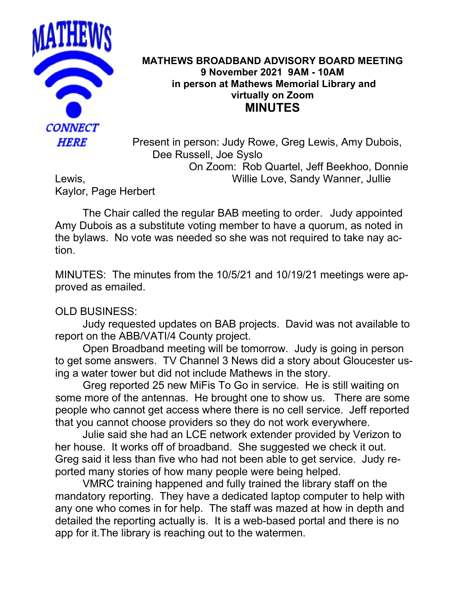

## **MATHEWS BROADBAND ADVISORY BOARD MEETING 9 November 2021 9AM - 10AM in person at Mathews Memorial Library and virtually on Zoom MINUTES**

Present in person: Judy Rowe, Greg Lewis, Amy Dubois, Dee Russell, Joe Syslo On Zoom: Rob Quartel, Jeff Beekhoo, Donnie

Lewis, Willie Love, Sandy Wanner, Jullie

Kaylor, Page Herbert

The Chair called the regular BAB meeting to order. Judy appointed Amy Dubois as a substitute voting member to have a quorum, as noted in the bylaws. No vote was needed so she was not required to take nay action.

MINUTES: The minutes from the 10/5/21 and 10/19/21 meetings were approved as emailed.

## OLD BUSINESS:

Judy requested updates on BAB projects. David was not available to report on the ABB/VATI/4 County project.

Open Broadband meeting will be tomorrow. Judy is going in person to get some answers. TV Channel 3 News did a story about Gloucester using a water tower but did not include Mathews in the story.

Greg reported 25 new MiFis To Go in service. He is still waiting on some more of the antennas. He brought one to show us. There are some people who cannot get access where there is no cell service. Jeff reported that you cannot choose providers so they do not work everywhere.

Julie said she had an LCE network extender provided by Verizon to her house. It works off of broadband. She suggested we check it out. Greg said it less than five who had not been able to get service. Judy reported many stories of how many people were being helped.

VMRC training happened and fully trained the library staff on the mandatory reporting. They have a dedicated laptop computer to help with any one who comes in for help. The staff was mazed at how in depth and detailed the reporting actually is. It is a web-based portal and there is no app for it.The library is reaching out to the watermen.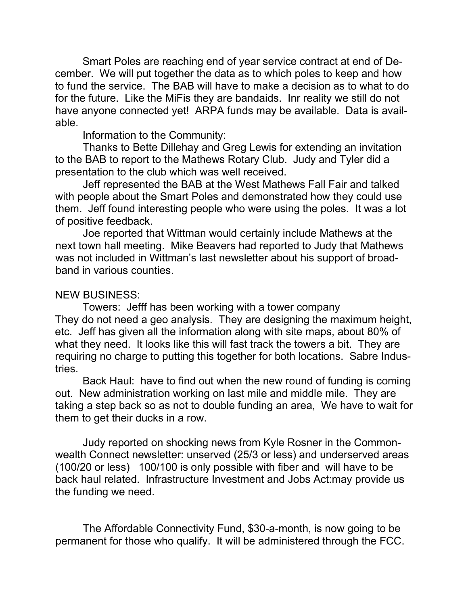Smart Poles are reaching end of year service contract at end of December. We will put together the data as to which poles to keep and how to fund the service. The BAB will have to make a decision as to what to do for the future. Like the MiFis they are bandaids. Inr reality we still do not have anyone connected yet! ARPA funds may be available. Data is available.

Information to the Community:

Thanks to Bette Dillehay and Greg Lewis for extending an invitation to the BAB to report to the Mathews Rotary Club. Judy and Tyler did a presentation to the club which was well received.

Jeff represented the BAB at the West Mathews Fall Fair and talked with people about the Smart Poles and demonstrated how they could use them. Jeff found interesting people who were using the poles. It was a lot of positive feedback.

Joe reported that Wittman would certainly include Mathews at the next town hall meeting. Mike Beavers had reported to Judy that Mathews was not included in Wittman's last newsletter about his support of broadband in various counties.

## NEW BUSINESS:

Towers: Jefff has been working with a tower company They do not need a geo analysis. They are designing the maximum height, etc. Jeff has given all the information along with site maps, about 80% of what they need. It looks like this will fast track the towers a bit. They are requiring no charge to putting this together for both locations. Sabre Industries.

Back Haul: have to find out when the new round of funding is coming out. New administration working on last mile and middle mile. They are taking a step back so as not to double funding an area, We have to wait for them to get their ducks in a row.

Judy reported on shocking news from Kyle Rosner in the Commonwealth Connect newsletter: unserved (25/3 or less) and underserved areas (100/20 or less) 100/100 is only possible with fiber and will have to be back haul related. Infrastructure Investment and Jobs Act:may provide us the funding we need.

The Affordable Connectivity Fund, \$30-a-month, is now going to be permanent for those who qualify. It will be administered through the FCC.